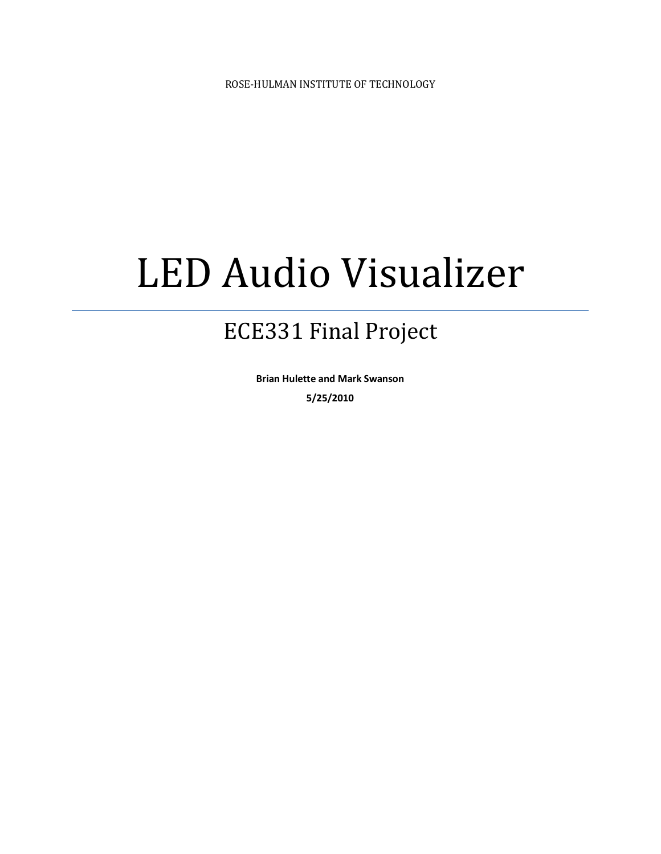# LED Audio Visualizer

# ECE331 Final Project

**Brian Hulette and Mark Swanson 5/25/2010**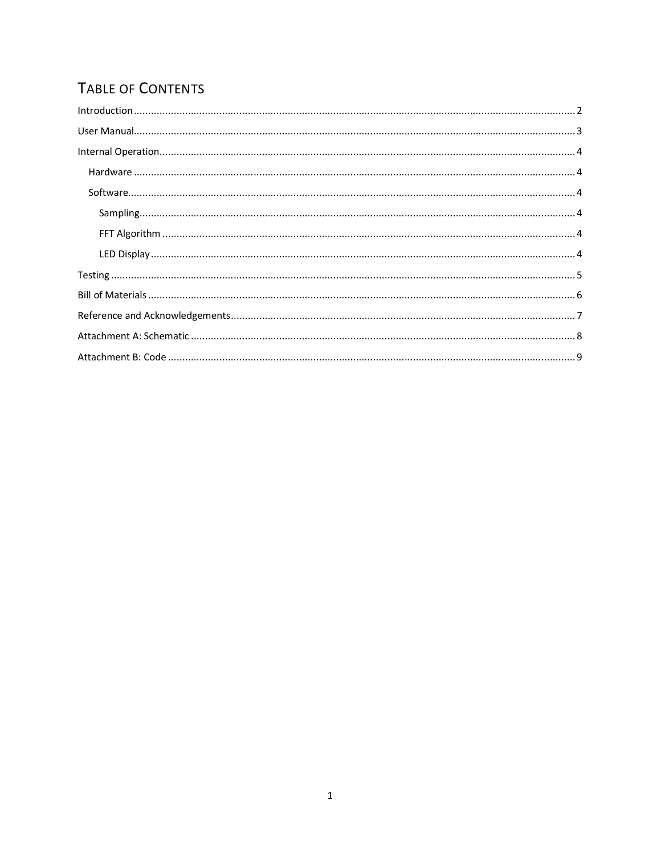# TABLE OF CONTENTS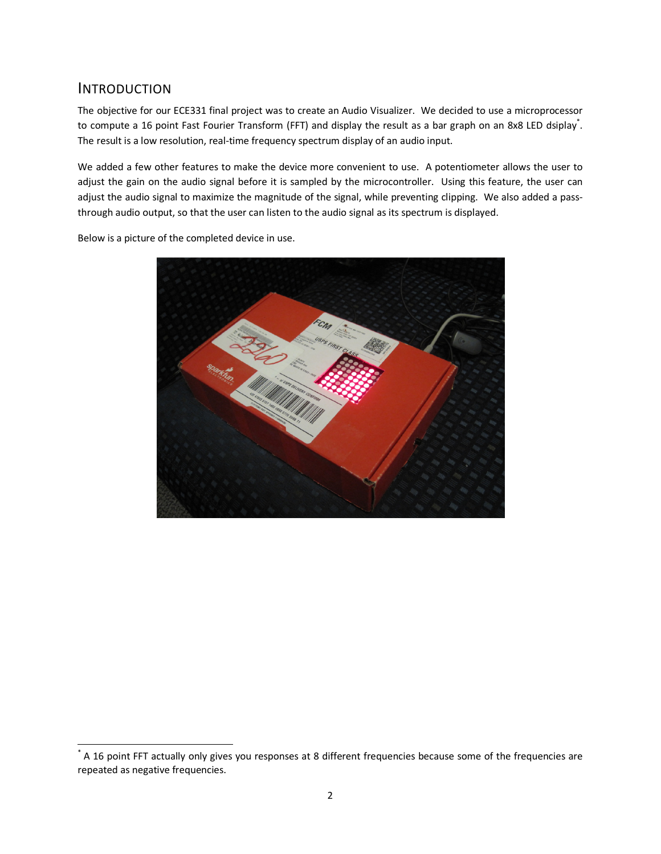## INTRODUCTION

 $\overline{a}$ 

The objective for our ECE331 final project was to create an Audio Visualizer. We decided to use a microprocessor to compute a 16 point Fast Fourier Transform (FFT) and display the result as a bar graph on an 8x8 LED dsiplay. The result is a low resolution, real-time frequency spectrum display of an audio input.

We added a few other features to make the device more convenient to use. A potentiometer allows the user to adjust the gain on the audio signal before it is sampled by the microcontroller. Using this feature, the user can adjust the audio signal to maximize the magnitude of the signal, while preventing clipping. We also added a passthrough audio output, so that the user can listen to the audio signal as its spectrum is displayed.

Below is a picture of the completed device in use.



<sup>\*</sup> A 16 point FFT actually only gives you responses at 8 different frequencies because some of the frequencies are repeated as negative frequencies.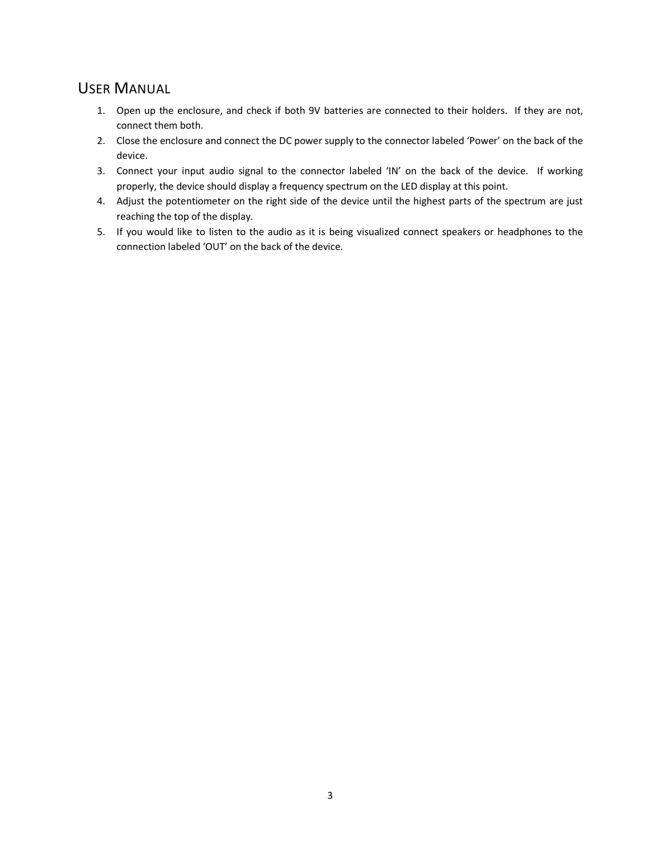## USER MANUAL

- 1. Open up the enclosure, and check if both 9V batteries are connected to their holders. If they are not, connect them both.
- 2. Close the enclosure and connect the DC power supply to the connector labeled 'Power' on the back of the device.
- 3. Connect your input audio signal to the connector labeled 'IN' on the back of the device. If working properly, the device should display a frequency spectrum on the LED display at this point.
- 4. Adjust the potentiometer on the right side of the device until the highest parts of the spectrum are just reaching the top of the display.
- 5. If you would like to listen to the audio as it is being visualized connect speakers or headphones to the connection labeled 'OUT' on the back of the device.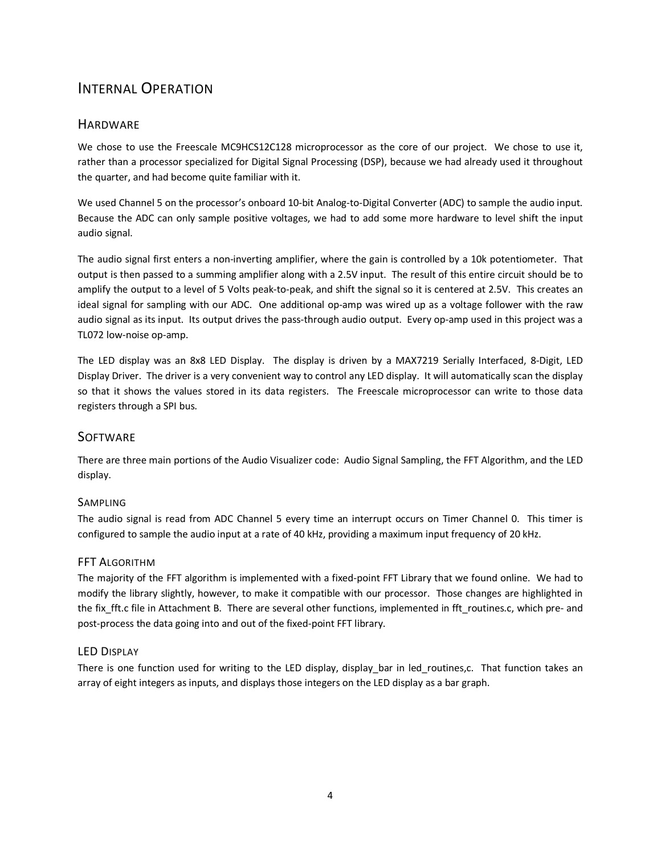## INTERNAL OPERATION

## **HARDWARE**

We chose to use the Freescale MC9HCS12C128 microprocessor as the core of our project. We chose to use it, rather than a processor specialized for Digital Signal Processing (DSP), because we had already used it throughout the quarter, and had become quite familiar with it.

We used Channel 5 on the processor's onboard 10-bit Analog-to-Digital Converter (ADC) to sample the audio input. Because the ADC can only sample positive voltages, we had to add some more hardware to level shift the input audio signal.

The audio signal first enters a non-inverting amplifier, where the gain is controlled by a 10k potentiometer. That output is then passed to a summing amplifier along with a 2.5V input. The result of this entire circuit should be to amplify the output to a level of 5 Volts peak-to-peak, and shift the signal so it is centered at 2.5V. This creates an ideal signal for sampling with our ADC. One additional op-amp was wired up as a voltage follower with the raw audio signal as its input. Its output drives the pass-through audio output. Every op-amp used in this project was a TL072 low-noise op-amp.

The LED display was an 8x8 LED Display. The display is driven by a MAX7219 Serially Interfaced, 8-Digit, LED Display Driver. The driver is a very convenient way to control any LED display. It will automatically scan the display so that it shows the values stored in its data registers. The Freescale microprocessor can write to those data registers through a SPI bus.

## **SOFTWARE**

There are three main portions of the Audio Visualizer code: Audio Signal Sampling, the FFT Algorithm, and the LED display.

## SAMPLING

The audio signal is read from ADC Channel 5 every time an interrupt occurs on Timer Channel 0. This timer is configured to sample the audio input at a rate of 40 kHz, providing a maximum input frequency of 20 kHz.

## FFT ALGORITHM

The majority of the FFT algorithm is implemented with a fixed-point FFT Library that we found online. We had to modify the library slightly, however, to make it compatible with our processor. Those changes are highlighted in the fix fft.c file in Attachment B. There are several other functions, implemented in fft\_routines.c, which pre- and post-process the data going into and out of the fixed-point FFT library.

## LED DISPLAY

There is one function used for writing to the LED display, display\_bar in led\_routines,c. That function takes an array of eight integers as inputs, and displays those integers on the LED display as a bar graph.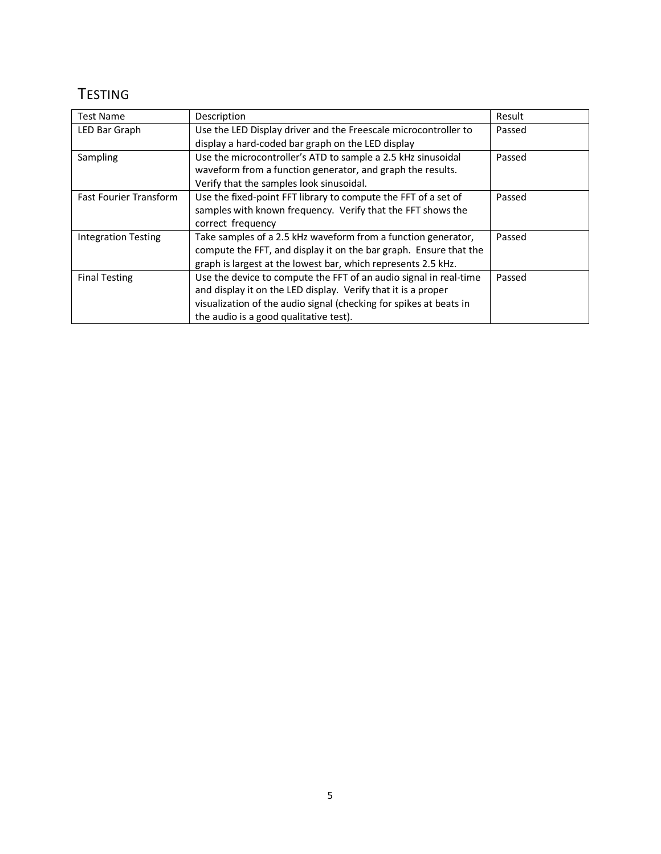# **TESTING**

| <b>Test Name</b>              | Description                                                        | Result |
|-------------------------------|--------------------------------------------------------------------|--------|
| LED Bar Graph                 | Use the LED Display driver and the Freescale microcontroller to    | Passed |
|                               | display a hard-coded bar graph on the LED display                  |        |
| Sampling                      | Use the microcontroller's ATD to sample a 2.5 kHz sinusoidal       | Passed |
|                               | waveform from a function generator, and graph the results.         |        |
|                               | Verify that the samples look sinusoidal.                           |        |
| <b>Fast Fourier Transform</b> | Use the fixed-point FFT library to compute the FFT of a set of     | Passed |
|                               | samples with known frequency. Verify that the FFT shows the        |        |
|                               | correct frequency                                                  |        |
| <b>Integration Testing</b>    | Take samples of a 2.5 kHz waveform from a function generator,      | Passed |
|                               | compute the FFT, and display it on the bar graph. Ensure that the  |        |
|                               | graph is largest at the lowest bar, which represents 2.5 kHz.      |        |
| <b>Final Testing</b>          | Use the device to compute the FFT of an audio signal in real-time  | Passed |
|                               | and display it on the LED display. Verify that it is a proper      |        |
|                               | visualization of the audio signal (checking for spikes at beats in |        |
|                               | the audio is a good qualitative test).                             |        |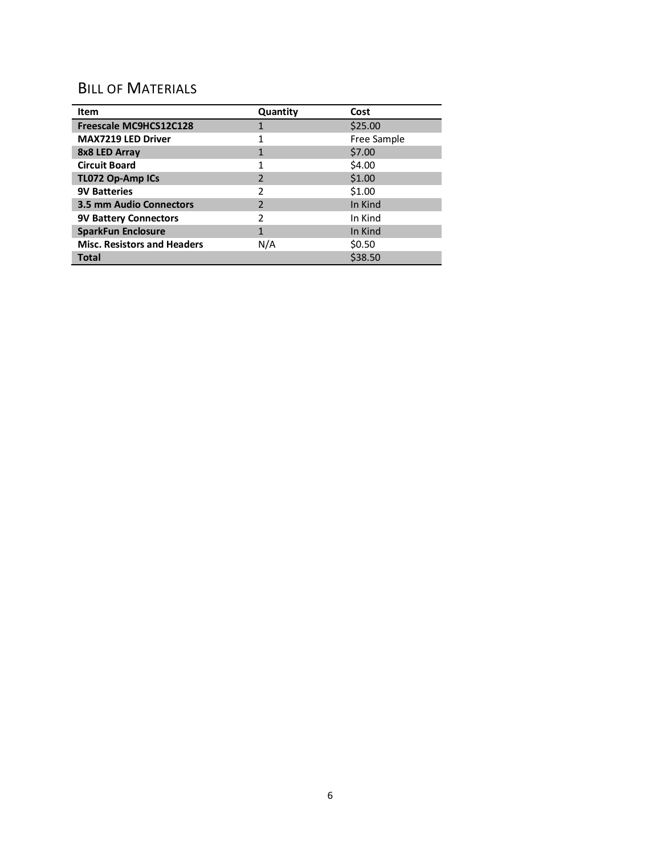## BILL OF MATERIALS

| Item                               | Quantity                | Cost        |
|------------------------------------|-------------------------|-------------|
| Freescale MC9HCS12C128             |                         | \$25.00     |
| <b>MAX7219 LED Driver</b>          | 1                       | Free Sample |
| 8x8 LED Array                      | 1                       | \$7.00      |
| <b>Circuit Board</b>               | 1                       | \$4.00      |
| TL072 Op-Amp ICs                   | $\overline{\mathbf{c}}$ | \$1.00      |
| <b>9V Batteries</b>                | 2                       | \$1.00      |
| <b>3.5 mm Audio Connectors</b>     | $\overline{\mathbf{c}}$ | In Kind     |
| <b>9V Battery Connectors</b>       | 2                       | In Kind     |
| <b>SparkFun Enclosure</b>          | 1                       | In Kind     |
| <b>Misc. Resistors and Headers</b> | N/A                     | \$0.50      |
| Total                              |                         | \$38.50     |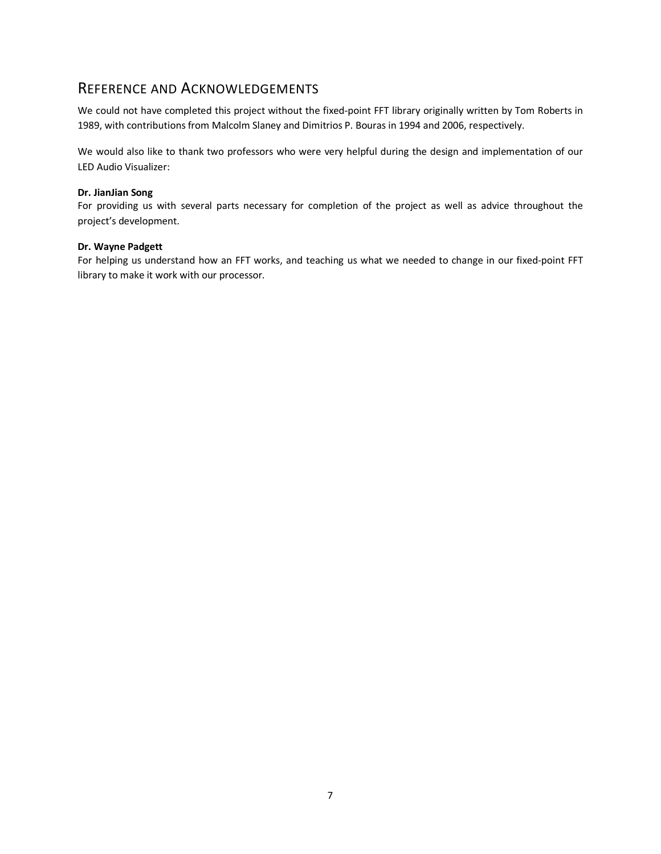## REFERENCE AND ACKNOWLEDGEMENTS

We could not have completed this project without the fixed-point FFT library originally written by Tom Roberts in 1989, with contributions from Malcolm Slaney and Dimitrios P. Bouras in 1994 and 2006, respectively.

We would also like to thank two professors who were very helpful during the design and implementation of our LED Audio Visualizer:

### **Dr. JianJian Song**

For providing us with several parts necessary for completion of the project as well as advice throughout the project's development.

#### **Dr. Wayne Padgett**

For helping us understand how an FFT works, and teaching us what we needed to change in our fixed-point FFT library to make it work with our processor.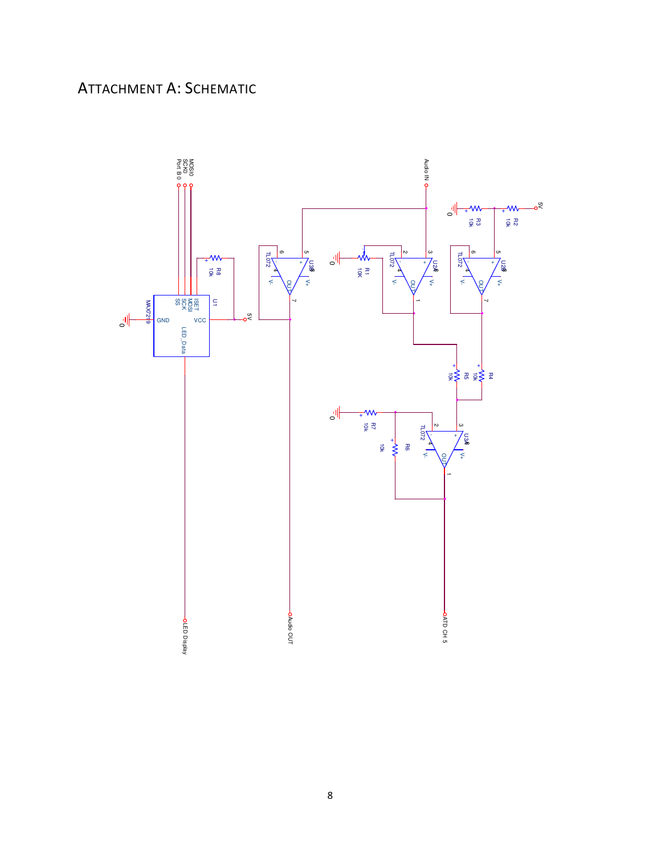# ATTACHMENT A: SCHEMATIC

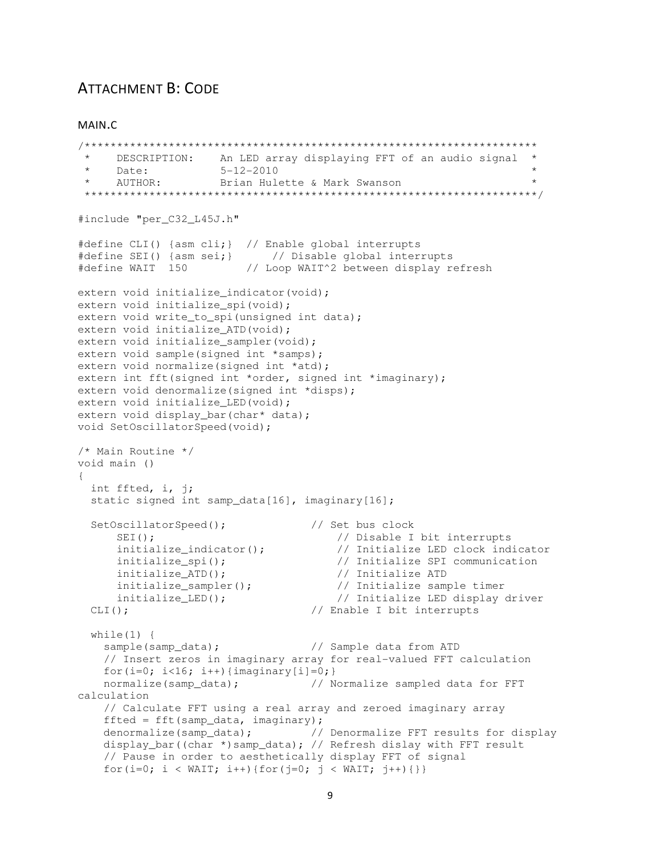## **ATTACHMENT B: CODE**

MAIN.C

```
DESCRIPTION: An LED array displaying FFT of an audio signal *<br>Date: 5-12-2010 *<br>AUTHOR: Brian Hulette & Mark Swanson * *
 \star#include "per C32 L45J.h"
#define CLI() {asm cli; } // Enable global interrupts
#define SEI() {asm sei; } // Disable global interrupts
#define WAIT 150 // Loop WAIT^2 between display refresh
extern void initialize indicator (void);
extern void initialize spi(void);
extern void write_to_spi(unsigned int data);
extern void initialize ATD(void);
extern void initialize sampler (void);
extern void sample(signed int *samps);
extern void normalize (signed int *atd);
extern int fft(signed int *order, signed int *imaginary);
extern void denormalize (signed int *disps);
extern void initialize_LED(void);
extern void display_bar(char* data);
void SetOscillatorSpeed(void);
/* Main Routine */void main ()
\left\{ \right.int ffted, i, j;
  static signed int samp_data[16], imaginary[16];
  SetOscillatorSpeed();
                                  // Set bus clock
                                      // Disable I bit interrupts
     SEI();
                                   ..<br>// Initialize LED clock indicator<br>// Initialize SPI communication
     initialize_indicator();
                                      // Initialize SPI communication
                                    // initialize SPI communica<br>// Initialize ATD<br>// Initialize sample timer<br>// Initialize sample timer
     initialize spi();
     initialize_ATD();
     initialize_sampler();
      initialize_LED();
                                       // Initialize LED display driver
                                  // Enable I bit interrupts
  CLI();while (1) {
    sample(samp_data);
                                   // Sample data from ATD
    // Insert zeros in imaginary array for real-valued FFT calculation
    for (i=0; i<16; i++) {imaginary [i]=0;}
    normalize (samp_data); // Normalize sampled data for FFT
calculation
    // Calculate FFT using a real array and zeroed imaginary array
    fited = fft(samp_data, imaginary);denormalize(samp_data); // Denormalize FFT results for display
    display_bar((char *)samp_data); // Refresh dislay with FFT result
    // Pause in order to aesthetically display FFT of signal
    for (i=0; i < WAIT; i++) {for (j=0; j < WAIT; j++) {}}
```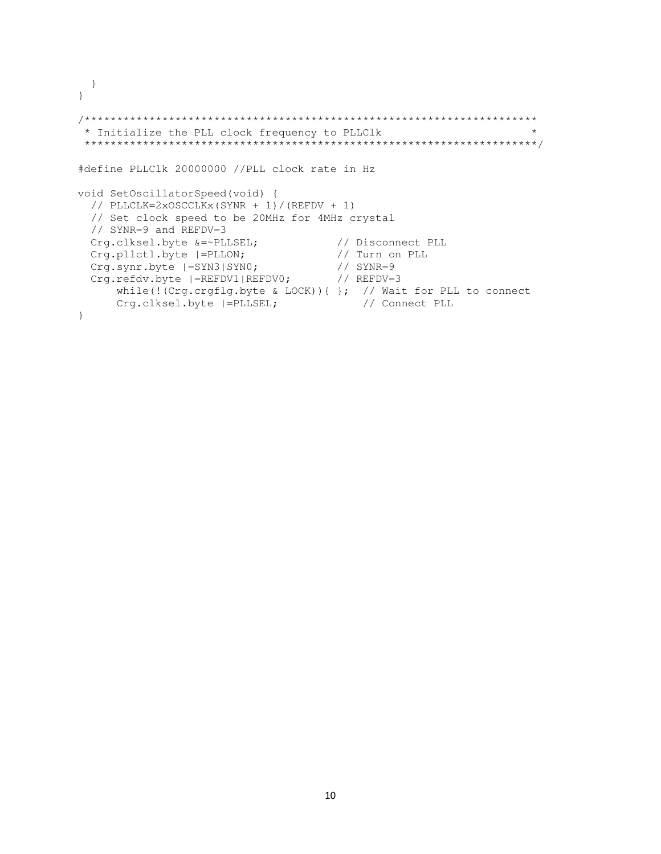```
 } 
} 
/********************************************************************** 
  * Initialize the PLL clock frequency to PLLClk * 
  **********************************************************************/ 
#define PLLClk 20000000 //PLL clock rate in Hz 
void SetOscillatorSpeed(void) { 
  // PLLCLK=2xOSCCLKx(SYNR + 1)/(REFDV + 1) 
   // Set clock speed to be 20MHz for 4MHz crystal 
   // SYNR=9 and REFDV=3 
  Crg.clksel.byte &=~PLLSEL; // Disconnect PLL
  Crg.pllctl.byte |=PLLON; // Turn on PLL<br>Crg.synr.byte |=SYN3|SYN0; // SYNR=9
 Crg.synr.byte |=SYN3|SYN0; // SYNR=9 
Crg.refdv.byte |=REFDV1|REFDV0; // REFDV=3
      while(!(Crg.crgflg.byte & LOCK)){ }; // Wait for PLL to connect<br>Crg.clksel.byte |=PLLSEL; // Connect PLL
      Crg.clksel.byte |=PLLSEL;
}
```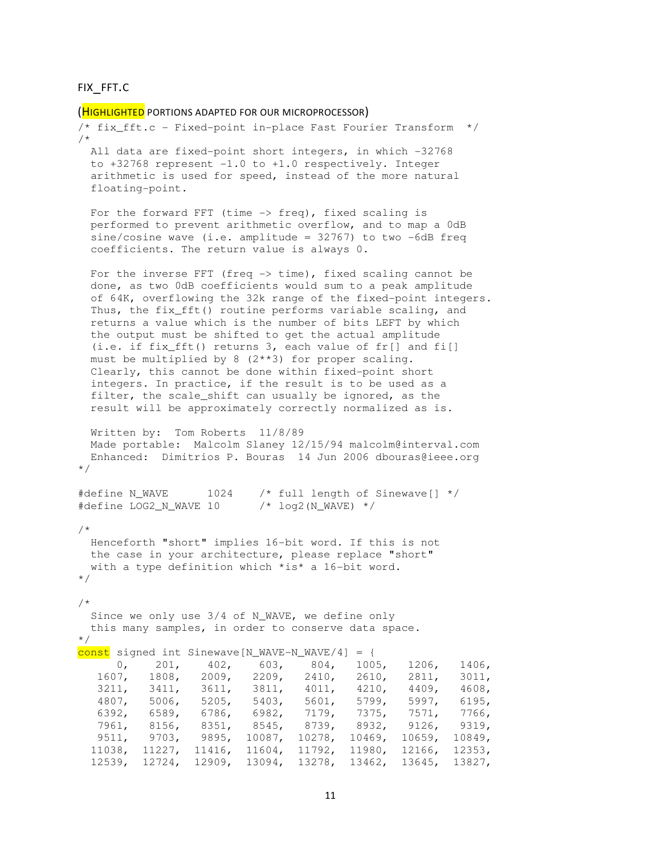```
FIX_FFT.C
```

```
(HIGHLIGHTED PORTIONS ADAPTED FOR OUR MICROPROCESSOR)
```

```
/* fix_fft.c - Fixed-point in-place Fast Fourier Transform */ 
/* 
  All data are fixed-point short integers, in which -32768 
  to +32768 represent -1.0 to +1.0 respectively. Integer 
  arithmetic is used for speed, instead of the more natural 
  floating-point. 
 For the forward FFT (time \rightarrow freq), fixed scaling is
  performed to prevent arithmetic overflow, and to map a 0dB 
 sine/cosine wave (i.e. amplitude = 32767) to two -6dB freq
  coefficients. The return value is always 0. 
 For the inverse FFT (freq \rightarrow time), fixed scaling cannot be
  done, as two 0dB coefficients would sum to a peak amplitude 
  of 64K, overflowing the 32k range of the fixed-point integers. 
 Thus, the fix fft() routine performs variable scaling, and
  returns a value which is the number of bits LEFT by which 
  the output must be shifted to get the actual amplitude 
  (i.e. if fix_fft() returns 3, each value of fr[] and fi[] 
  must be multiplied by 8 (2**3) for proper scaling. 
  Clearly, this cannot be done within fixed-point short 
  integers. In practice, if the result is to be used as a 
 filter, the scale shift can usually be ignored, as the
  result will be approximately correctly normalized as is. 
  Written by: Tom Roberts 11/8/89 
  Made portable: Malcolm Slaney 12/15/94 malcolm@interval.com 
  Enhanced: Dimitrios P. Bouras 14 Jun 2006 dbouras@ieee.org 
*/ 
#define N_WAVE 1024 /* full length of Sinewave[] */#define LOG2 N WAVE 10 /* log2(N WAVE) *//* 
  Henceforth "short" implies 16-bit word. If this is not 
  the case in your architecture, please replace "short" 
  with a type definition which *is* a 16-bit word. 
*/ 
/* 
  Since we only use 3/4 of N_WAVE, we define only 
  this many samples, in order to conserve data space. 
*/ 
const signed int Sinewave[N_WAVE-N_WAVE/4] = { 
      0, 201, 402, 603, 804, 1005, 1206, 1406, 
   1607, 1808, 2009, 2209, 2410, 2610, 2811, 3011, 
   3211, 3411, 3611, 3811, 4011, 4210, 4409, 4608, 
   4807, 5006, 5205, 5403, 5601, 5799, 5997, 6195, 
   6392, 6589, 6786, 6982, 7179, 7375, 7571, 7766, 
   7961, 8156, 8351, 8545, 8739, 8932, 9126, 9319, 
   9511, 9703, 9895, 10087, 10278, 10469, 10659, 10849, 
 11038, 11227, 11416, 11604, 11792, 11980, 12166, 12353, 
 12539, 12724, 12909, 13094, 13278, 13462, 13645, 13827,
```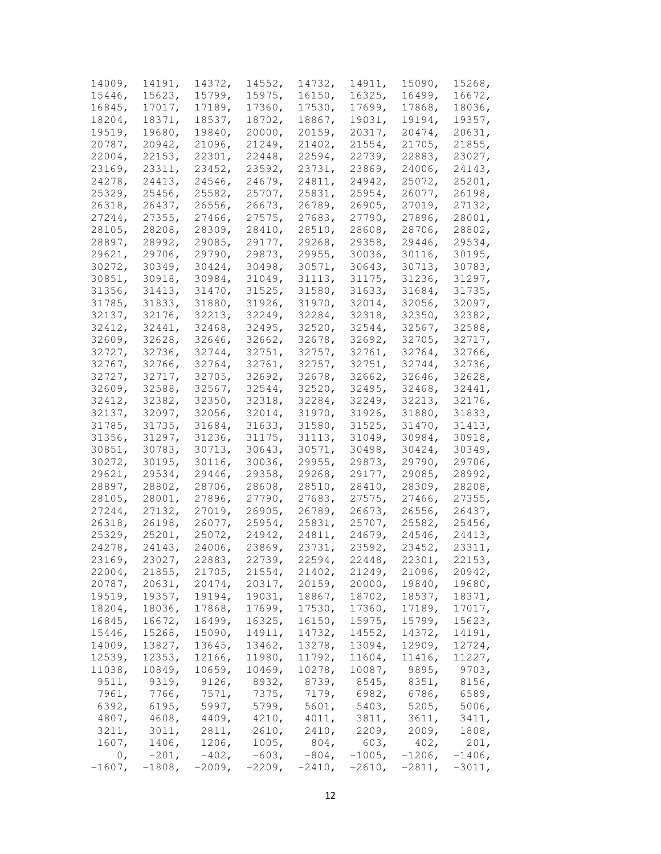| 14009,         | 14191,    | 14372,    | 14552,    | 14732,   | 14911,   | 15090,    | 15268,    |
|----------------|-----------|-----------|-----------|----------|----------|-----------|-----------|
| 15446,         | 15623,    | 15799,    | 15975,    | 16150,   | 16325,   | 16499,    | 16672,    |
| 16845,         | 17017,    | 17189,    | 17360,    | 17530,   | 17699,   | 17868,    | 18036,    |
| 18204,         | 18371,    | 18537,    | 18702,    | 18867,   | 19031,   | 19194,    | 19357,    |
| 19519,         | 19680,    | 19840,    | 20000,    | 20159,   | 20317,   | 20474,    | 20631,    |
| 20787,         | 20942,    | 21096,    | 21249,    | 21402,   | 21554,   | 21705,    | 21855,    |
| 22004,         | 22153,    | 22301,    | 22448,    | 22594,   | 22739,   | 22883,    | 23027,    |
| 23169,         | 23311,    | 23452,    | 23592,    | 23731,   | 23869,   | 24006,    | 24143,    |
| 24278,         | 24413,    | 24546,    | 24679,    | 24811,   | 24942,   | 25072,    | 25201,    |
| 25329,         | 25456,    | 25582,    | 25707,    | 25831,   | 25954,   | 26077,    | 26198,    |
| 26318,         | 26437,    | 26556,    | 26673,    | 26789,   | 26905,   | 27019,    | 27132,    |
| 27244,         | 27355,    | 27466,    | 27575,    | 27683,   | 27790,   | 27896,    | 28001,    |
| 28105,         | 28208,    | 28309,    | 28410,    | 28510,   | 28608,   | 28706,    | 28802,    |
|                | 28992,    | 29085,    |           | 29268,   | 29358,   | 29446,    | 29534,    |
| 28897,         |           |           | 29177,    |          |          |           |           |
| 29621,         | 29706,    | 29790,    | 29873,    | 29955,   | 30036,   | 30116,    | 30195,    |
| 30272,         | 30349,    | 30424,    | 30498,    | 30571,   | 30643,   | 30713,    | 30783,    |
| 30851,         | 30918,    | 30984,    | 31049,    | 31113,   | 31175,   | 31236,    | 31297,    |
| 31356,         | 31413,    | 31470,    | 31525,    | 31580,   | 31633,   | 31684,    | 31735,    |
| 31785,         | 31833,    | 31880,    | 31926,    | 31970,   | 32014,   | 32056,    | 32097,    |
| 32137,         | 32176,    | 32213,    | 32249,    | 32284,   | 32318,   | 32350,    | 32382,    |
| 32412,         | 32441,    | 32468,    | 32495,    | 32520,   | 32544,   | 32567,    | 32588,    |
| 32609,         | 32628,    | 32646,    | 32662,    | 32678,   | 32692,   | 32705,    | 32717,    |
| 32727,         | 32736,    | 32744,    | 32751,    | 32757,   | 32761,   | 32764,    | 32766,    |
| 32767,         | 32766,    | 32764,    | 32761,    | 32757,   | 32751,   | 32744,    | 32736,    |
| 32727,         | 32717,    | 32705,    | 32692,    | 32678,   | 32662,   | 32646,    | 32628,    |
| 32609,         | 32588,    | 32567,    | 32544,    | 32520,   | 32495,   | 32468,    | 32441,    |
| 32412,         | 32382,    | 32350,    | 32318,    | 32284,   | 32249,   | 32213,    | 32176,    |
| 32137,         | 32097,    | 32056,    | 32014,    | 31970,   | 31926,   | 31880,    | 31833,    |
| 31785,         | 31735,    | 31684,    | 31633,    | 31580,   | 31525,   | 31470,    | 31413,    |
| 31356,         | 31297,    | 31236,    | 31175,    | 31113,   | 31049,   | 30984,    | 30918,    |
| 30851,         | 30783,    | 30713,    | 30643,    | 30571,   | 30498,   | 30424,    | 30349,    |
| 30272,         | 30195,    | 30116,    | 30036,    | 29955,   | 29873,   | 29790,    | 29706,    |
| 29621,         | 29534,    | 29446,    | 29358,    | 29268,   | 29177,   | 29085,    | 28992,    |
| 28897,         | 28802,    | 28706,    | 28608,    | 28510,   | 28410,   | 28309,    | 28208,    |
| 28105,         | 28001,    | 27896,    | 27790,    | 27683,   | 27575,   | 27466,    | 27355,    |
| 27244,         | 27132,    | 27019,    | 26905,    | 26789,   | 26673,   | 26556,    | 26437,    |
| 26318,         | 26198,    | 26077,    | 25954,    | 25831,   | 25707,   | 25582,    | 25456,    |
| 25329,         | 25201,    | 25072,    | 24942,    | 24811,   | 24679,   | 24546,    | 24413,    |
| 24278,         | 24143,    | 24006,    | 23869,    | 23731,   | 23592,   | 23452,    | 23311,    |
| 23169,         | 23027,    | 22883,    | 22739,    | 22594,   | 22448,   | 22301,    | 22153,    |
| 22004,         | 21855,    | 21705,    | 21554,    | 21402,   | 21249,   | 21096,    | 20942,    |
| 20787,         | 20631,    | 20474,    | 20317,    | 20159,   | 20000,   | 19840,    | 19680,    |
| 19519,         | 19357,    | 19194,    | 19031,    | 18867,   | 18702,   | 18537,    | 18371,    |
| 18204,         | 18036,    | 17868,    | 17699,    | 17530,   | 17360,   | 17189,    | 17017,    |
| 16845,         | 16672,    | 16499,    | 16325,    | 16150,   | 15975,   | 15799,    | 15623,    |
| 15446,         | 15268,    | 15090,    | 14911,    | 14732,   | 14552,   | 14372,    | 14191,    |
| 14009,         | 13827,    | 13645,    | 13462,    | 13278,   | 13094,   | 12909,    | 12724,    |
| 12539,         | 12353,    | 12166,    | 11980,    | 11792,   | 11604,   | 11416,    | 11227,    |
| 11038,         | 10849,    | 10659,    | 10469,    | 10278,   | 10087,   | 9895,     | 9703,     |
| 9511,          | 9319,     | 9126,     | 8932,     | 8739,    | 8545,    | 8351,     | 8156,     |
| 7961,          | 7766,     | 7571,     | 7375,     | 7179,    | 6982,    | 6786,     | 6589,     |
| 6392,          | 6195,     | 5997,     | 5799,     | 5601,    | 5403,    | 5205,     | 5006,     |
| 4807,          | 4608,     | 4409,     | 4210,     | 4011,    | 3811,    | 3611,     | 3411,     |
| 3211,          | 3011,     | 2811,     | 2610,     | 2410,    | 2209,    | 2009,     | 1808,     |
| 1607,          | 1406,     | 1206,     | 1005,     | 804,     | 603,     | 402,      | 201,      |
| 0 <sub>r</sub> | $-201,$   | $-402$ ,  | $-603,$   | $-804$ , | $-1005,$ | $-1206$ , | $-1406$ , |
| $-1607$ ,      | $-1808$ , | $-2009$ , | $-2209$ , | $-2410,$ | $-2610,$ | $-2811$ , | $-3011,$  |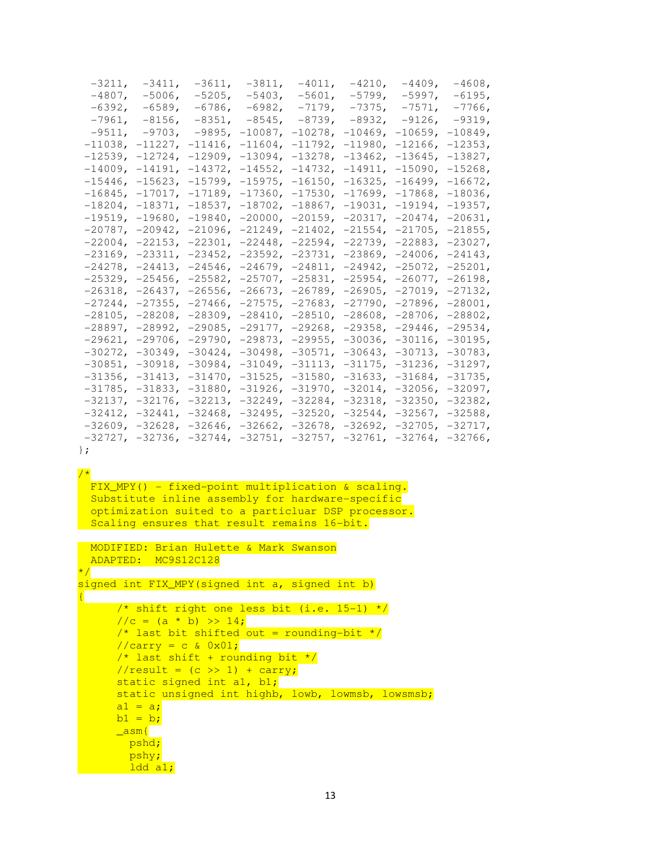| $-3211$ , |           | $-3411$ , $-3611$ , $-3811$ , $-4011$ , $-4210$ , $-4409$ , $-4608$ ,                   |                               |           |                      |                 |  |
|-----------|-----------|-----------------------------------------------------------------------------------------|-------------------------------|-----------|----------------------|-----------------|--|
| $-4807$ , | $-5006$ , |                                                                                         | $-5205$ , $-5403$ , $-5601$ , |           | -5799, -5997, -6195, |                 |  |
| $-6392$ , | -6589,    |                                                                                         | -6786, -6982, -7179,          | $-7375$ , |                      | $-7571, -7766,$ |  |
|           |           | $-7961, -8156, -8351, -8545, -8739, -8932, -9126, -9319,$                               |                               |           |                      |                 |  |
|           |           | $-9511$ , $-9703$ , $-9895$ , $-10087$ , $-10278$ , $-10469$ , $-10659$ , $-10849$ ,    |                               |           |                      |                 |  |
|           |           | $-11038$ , $-11227$ , $-11416$ , $-11604$ , $-11792$ , $-11980$ , $-12166$ , $-12353$ , |                               |           |                      |                 |  |
|           |           | $-12539$ , $-12724$ , $-12909$ , $-13094$ , $-13278$ , $-13462$ , $-13645$ , $-13827$ , |                               |           |                      |                 |  |
|           |           | $-14009$ , $-14191$ , $-14372$ , $-14552$ , $-14732$ , $-14911$ , $-15090$ , $-15268$ , |                               |           |                      |                 |  |
|           |           | $-15446$ , $-15623$ , $-15799$ , $-15975$ , $-16150$ , $-16325$ , $-16499$ , $-16672$ , |                               |           |                      |                 |  |
|           |           | $-16845$ , $-17017$ , $-17189$ , $-17360$ , $-17530$ , $-17699$ , $-17868$ , $-18036$ , |                               |           |                      |                 |  |
|           |           | $-18204$ , $-18371$ , $-18537$ , $-18702$ , $-18867$ , $-19031$ , $-19194$ , $-19357$ , |                               |           |                      |                 |  |
|           |           | $-19519$ , $-19680$ , $-19840$ , $-20000$ , $-20159$ , $-20317$ , $-20474$ , $-20631$ , |                               |           |                      |                 |  |
|           |           | $-20787$ , $-20942$ , $-21096$ , $-21249$ , $-21402$ , $-21554$ , $-21705$ , $-21855$ , |                               |           |                      |                 |  |
|           |           | $-22004$ , $-22153$ , $-22301$ , $-22448$ , $-22594$ , $-22739$ , $-22883$ , $-23027$ , |                               |           |                      |                 |  |
|           |           | $-23169$ , $-23311$ , $-23452$ , $-23592$ , $-23731$ , $-23869$ , $-24006$ , $-24143$ , |                               |           |                      |                 |  |
|           |           | $-24278$ , $-24413$ , $-24546$ , $-24679$ , $-24811$ , $-24942$ , $-25072$ , $-25201$ , |                               |           |                      |                 |  |
|           |           | $-25329$ , $-25456$ , $-25582$ , $-25707$ , $-25831$ , $-25954$ , $-26077$ , $-26198$ , |                               |           |                      |                 |  |
|           |           | $-26318$ , $-26437$ , $-26556$ , $-26673$ , $-26789$ , $-26905$ , $-27019$ , $-27132$ , |                               |           |                      |                 |  |
|           |           | $-27244$ , $-27355$ , $-27466$ , $-27575$ , $-27683$ , $-27790$ , $-27896$ , $-28001$ , |                               |           |                      |                 |  |
|           |           | $-28105$ , $-28208$ , $-28309$ , $-28410$ , $-28510$ , $-28608$ , $-28706$ , $-28802$ , |                               |           |                      |                 |  |
|           |           | $-28897$ , $-28992$ , $-29085$ , $-29177$ , $-29268$ , $-29358$ , $-29446$ , $-29534$ , |                               |           |                      |                 |  |
|           |           | $-29621, -29706, -29790, -29873, -29955, -30036, -30116, -30195,$                       |                               |           |                      |                 |  |
|           |           | -30272, -30349, -30424, -30498, -30571, -30643, -30713, -30783,                         |                               |           |                      |                 |  |
|           |           | $-30851$ , $-30918$ , $-30984$ , $-31049$ , $-31113$ , $-31175$ , $-31236$ , $-31297$ , |                               |           |                      |                 |  |
|           |           | $-31356$ , $-31413$ , $-31470$ , $-31525$ , $-31580$ , $-31633$ , $-31684$ , $-31735$ , |                               |           |                      |                 |  |
|           |           | $-31785$ , $-31833$ , $-31880$ , $-31926$ , $-31970$ , $-32014$ , $-32056$ , $-32097$ , |                               |           |                      |                 |  |
|           |           | $-32137$ , $-32176$ , $-32213$ , $-32249$ , $-32284$ , $-32318$ , $-32350$ , $-32382$ , |                               |           |                      |                 |  |
|           |           | $-32412$ , $-32441$ , $-32468$ , $-32495$ , $-32520$ , $-32544$ , $-32567$ , $-32588$ , |                               |           |                      |                 |  |
|           |           | $-32609$ , $-32628$ , $-32646$ , $-32662$ , $-32678$ , $-32692$ , $-32705$ , $-32717$ , |                               |           |                      |                 |  |
|           |           | $-32727$ , $-32736$ , $-32744$ , $-32751$ , $-32757$ , $-32761$ , $-32764$ , $-32766$ , |                               |           |                      |                 |  |

};

#### /\*

{

 FIX\_MPY() - fixed-point multiplication & scaling. Substitute inline assembly for hardware-specific optimization suited to a particluar DSP processor. Scaling ensures that result remains 16-bit.

```
 MODIFIED: Brian Hulette & Mark Swanson 
  ADAPTED: MC9S12C128 
\star / \overline{\phantom{a}}signed int FIX MPY(signed int a, signed int b)
```

```
 /* shift right one less bit (i.e. 15-1) */ 
1/(c = (a * b) >> 14; /* last bit shifted out = rounding-bit */ 
\sqrt{cary} = c \& 0x01;/* last shift + rounding bit *///result = (c \gg 1) + carry;static signed int al, bl;
static unsigned int highb, lowb, lowmsb, lowsmsb;
a1 = a;bl = b;\overline{\mathsf{asm}}\} pshd; 
   pshy; 
 \frac{1}{1}dd a1;
```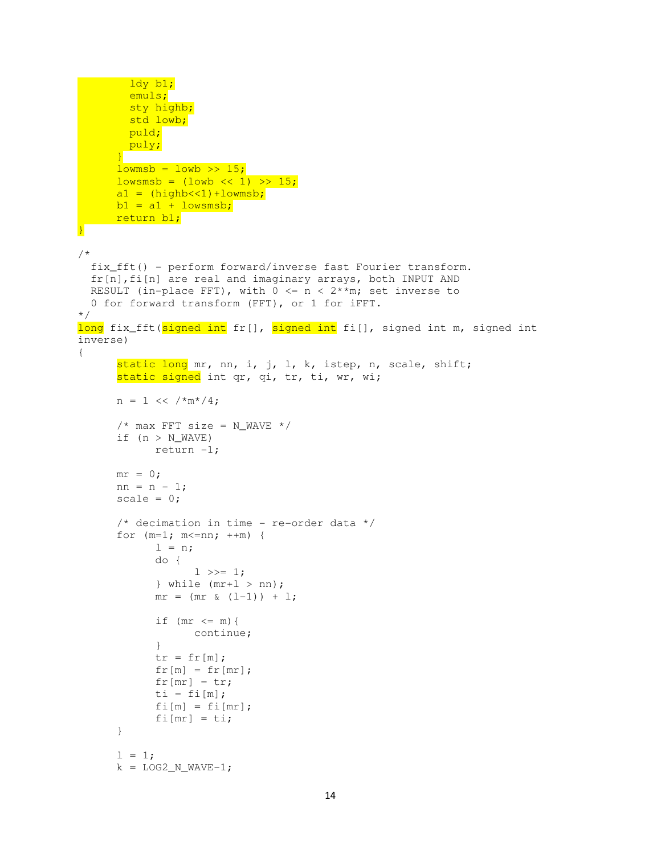```
 ldy b1; 
         emuls; 
        sty highb;
        std lowb;
         puld; 
         puly; 
       } 
      lowns b = low b \gg 15;lowsmsb = (lowb \ll 1) >> 15;a1 = (highb<<1)+1owmsb;
      b1 = a1 + lowsmsb; return b1; 
} 
/* 
   fix_fft() - perform forward/inverse fast Fourier transform. 
   fr[n],fi[n] are real and imaginary arrays, both INPUT AND 
 RESULT (in-place FFT), with 0 \le n \le 2^{**}m; set inverse to
  0 for forward transform (FFT), or 1 for iFFT. 
*/ 
long fix fft(signed int fr[], signed int fi[], signed int m, signed int
inverse) 
{ 
      static long mr, nn, i, j, l, k, istep, n, scale, shift;
      static signed int qr, qi, tr, ti, wr, wi;
      n = 1 \le \frac{\sqrt{m^*}}{4};
      /* max FFT size = N_WAVE */
      if (n > N WAVE)
             return -1; 
      mr = 0;nn = n - 1;scale = 0;/* decimation in time - re-order data */for (m=1; m<=nn; ++m) {
            l = n; do { 
                   1 \gg = 1;\} while (mr+1 > nn);
            mr = (mr \& (1-1)) + 1;if (mr \le m) {
                   continue; 
 } 
            tr = fr[m];
            fr[m] = fr[mr];
            fr[mr] = tr;ti = fi[m];
            fi[m] = fi[mr];
            fi[mr] = ti;
       } 
      1 = 1;
```

```
k = LOG2_N_WAVE-1;
```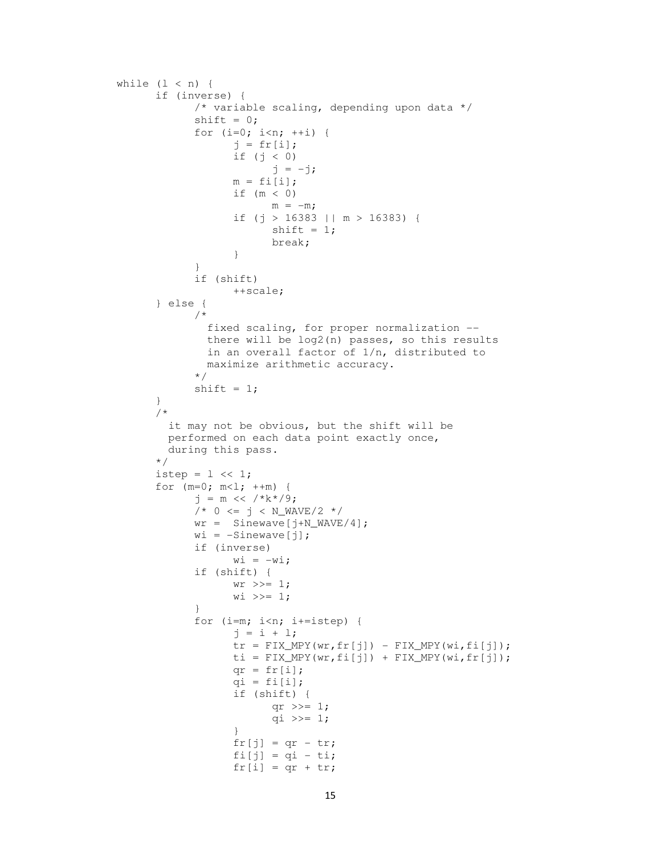```
while (1 < n) {
            if (inverse) { 
                  /* variable scaling, depending upon data */ 
                 shift = 0;for (i=0; i<n; ++i) {
                       j = fr[i]; if (j < 0) 
                            j = -j;m = \text{fi}[i];if (m < 0)m = -m; if (j > 16383 || m > 16383) { 
                            shift = 1; break; 
 } 
 } 
                  if (shift) 
                       ++scale; 
            } else { 
                  /* 
                   fixed scaling, for proper normalization -- 
                   there will be log2(n) passes, so this results 
                   in an overall factor of 1/n, distributed to 
                   maximize arithmetic accuracy. 
\star/shift = 1; } 
            /* 
              it may not be obvious, but the shift will be 
              performed on each data point exactly once, 
           during this pass.<br>\star/\star/istep = 1 \ll 1;
           for (m=0; m<1; ++m) {
                 j = m \ll /*k*/9;
                 /* 0 \le j \le N_WAVE/2 */wr = Sinewave[j+N_WAVE/4];
                 wi = -Sinewave[j];
                  if (inverse) 
                      w_i = -w_i; if (shift) { 
                      wr \gg= 1:
                      w_i \gg = 1; } 
                 for (i=m; i<n; i+=istep) {
                       j = i + 1;tr = FIX_MPY(wr, fr[j]) - FIX_MPY(wi, fi[j]);
                      ti = FIX_MPY(wr, fi[j]) + FIX_MPY(wi, fr[j]);qr = fr[i];
                      qi = fi[i]; if (shift) { 
                            qr \gg= 1;qi >>= 1;
 } 
                      fr[j] = qr - tr;f[i[j] = qi - tij;fr[i] = qr + tr;
```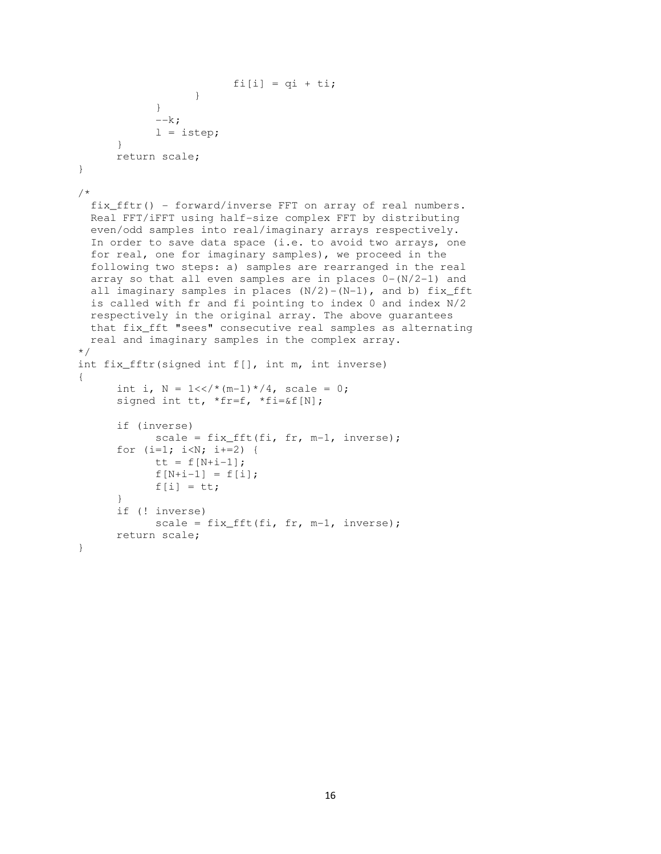```
fi[i] = qi + ti;
 } 
 } 
            -\kappa;l = istep; } 
       return scale; 
} 
/* 
  fix_fftr() - forward/inverse FFT on array of real numbers. 
  Real FFT/iFFT using half-size complex FFT by distributing 
   even/odd samples into real/imaginary arrays respectively. 
 In order to save data space (i.e. to avoid two arrays, one
  for real, one for imaginary samples), we proceed in the 
   following two steps: a) samples are rearranged in the real 
  array so that all even samples are in places 0 - (N/2-1) and
  all imaginary samples in places (N/2)-(N-1), and b) fix_fft
  is called with fr and fi pointing to index 0 and index N/2 
  respectively in the original array. The above guarantees 
  that fix_fft "sees" consecutive real samples as alternating 
  real and imaginary samples in the complex array. 
*/ 
int fix_fftr(signed int f[], int m, int inverse) 
{ 
      int i, N = 1 \ll / \star (m-1) \star / 4, scale = 0;
      signed int tt, *fr=f, *fi=&f[N];
       if (inverse) 
            scale = fix_fft(fi, fr, m-1, inverse);for (i=1; i<N; i+=2) {
            tt = f[N+i-1];f[N+i-1] = f[i];f[i] = \mathsf{tt}; } 
       if (! inverse) 
            scale = fix fft(fi, fr, m-1, inverse);
       return scale; 
}
```
16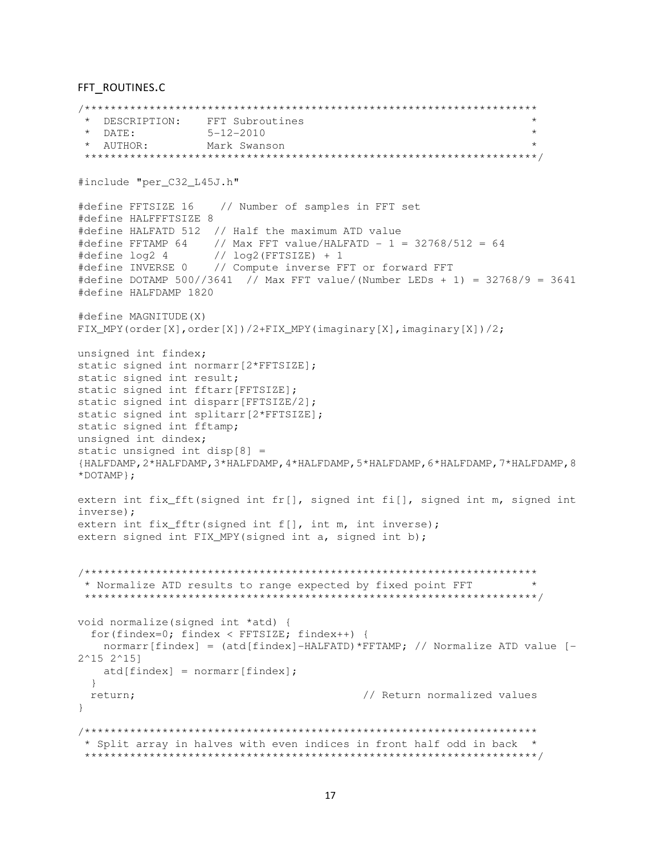#### FFT\_ROUTINES.C

```
/********************************************************************** 
  * DESCRIPTION: FFT Subroutines * 
 * DATE: 5-12-2010 * * AUTHOR: Mark Swanson * 
 **********************************************************************/ 
#include "per C32 L45J.h"
#define FFTSIZE 16 // Number of samples in FFT set 
#define HALFFFTSIZE 8 
#define HALFATD 512 // Half the maximum ATD value 
#define FFTAMP 64 // Max FFT value/HALFATD - 1 = 32768/512 = 64
#define log2 4 // log2(FFTSIZE) + 1 
#define INVERSE 0 // Compute inverse FFT or forward FFT 
#define DOTAMP 500//3641 // Max FFT value/(Number LEDs + 1) = 32768/9 = 3641 
#define HALFDAMP 1820 
#define MAGNITUDE(X) 
FIX_MPY(order[X],order[X])/2+FIX_MPY(imaginary[X],imaginary[X])/2; 
unsigned int findex; 
static signed int normarr[2*FFTSIZE];
static signed int result; 
static signed int fftarr[FFTSIZE];
static signed int disparr[FFTSIZE/2]; 
static signed int splitarr[2*FFTSIZE];
static signed int fftamp; 
unsigned int dindex; 
static unsigned int disp[8] = 
{HALFDAMP,2*HALFDAMP,3*HALFDAMP,4*HALFDAMP,5*HALFDAMP,6*HALFDAMP,7*HALFDAMP,8
*DOTAMP}; 
extern int fix fft(signed int fr[], signed int fi[], signed int m, signed int
inverse); 
extern int fix_fftr(signed int f[], int m, int inverse);
extern signed int FIX_MPY(signed int a, signed int b);
/********************************************************************** 
 * Normalize ATD results to range expected by fixed point FFT * 
 **********************************************************************/ 
void normalize(signed int *atd) { 
   for(findex=0; findex < FFTSIZE; findex++) { 
   normarr[findex] = (atd[findex]-HALFATD) *FFTAMP; // Normalize ATD value [-
2^15 2^15] 
   atd[findex] = normarr[findex];
   } 
 return; \sqrt{} // Return normalized values
} 
/********************************************************************** 
  * Split array in halves with even indices in front half odd in back * 
  **********************************************************************/
```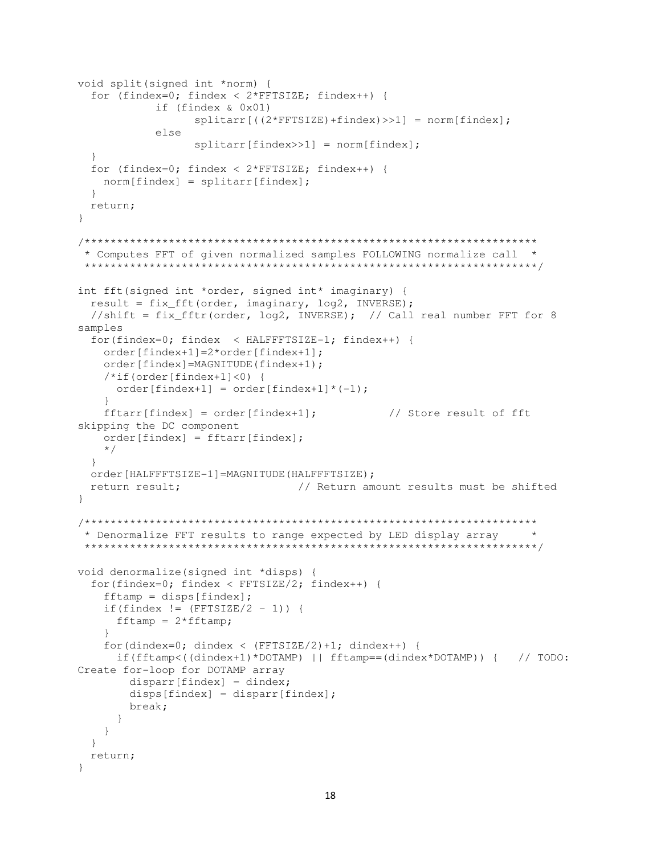```
void split(signed int *norm) {
 for (findex=0; findex < 2*FFTSIZE; findex++) {
          if (findex & 0x01)
               splitarr[((2*FFTSIZE) + findex) >> 1] = norm[findex];else
               splitarr[findex>>1] = norm[findex];for (findex=0; findex < 2*FFTSIZE; findex++) {
   norm[findex] = splitarr[findex];return:
\mathcal{F}* Computes FFT of given normalized samples FOLLOWING normalize call *
int fft(signed int *order, signed int* imaginary) {
 result = fix_fft(order, imaginary, log2, INVERSE);
 //shift = fix_fftr(order, log2, INVERSE); // Call real number FFT for 8
samples
 for(findex=0; findex < HALFFFTSIZE-1; findex++) {
   order[findex+1]=2*order[findex+1];
   order[findex]=MAGNITUDE(findex+1);
   /*if(order[findex+1]<0) {
    order[findex+1] = order[findex+1]*(-1);\mathcal{V}fftar[findex] = order[findex+1];// Store result of fft
skipping the DC component
   order[findex] = fftar[findex];\star /
 \left\{ \right\}order [HALFFFTSIZE-1]=MAGNITUDE (HALFFFTSIZE) ;
                             // Return amount results must be shifted
 return result;
\}* Denormalize FFT results to range expected by LED display array
void denormalize (signed int *disps) {
 for (findex=0: findex < FFTSIZE/2: findex++) {
   fftamp = dispers[findex];if(findex != (FFTSIZE/2 - 1)) {
    fftamp = 2*fftamp;for(dindex=0; dindex < (FFTSIZE/2)+1; dindex++) {
     if (fftamp<((dindex+1)*DOTAMP) || fftamp==(dindex*DOTAMP)) | // TODO:Create for-loop for DOTAMP array
      dispar[findex] = dindex;disps[findex] = dispar[findex];break;
     \rightarrow\left\{ \right\}\left\{ \right.return;
\mathcal{E}
```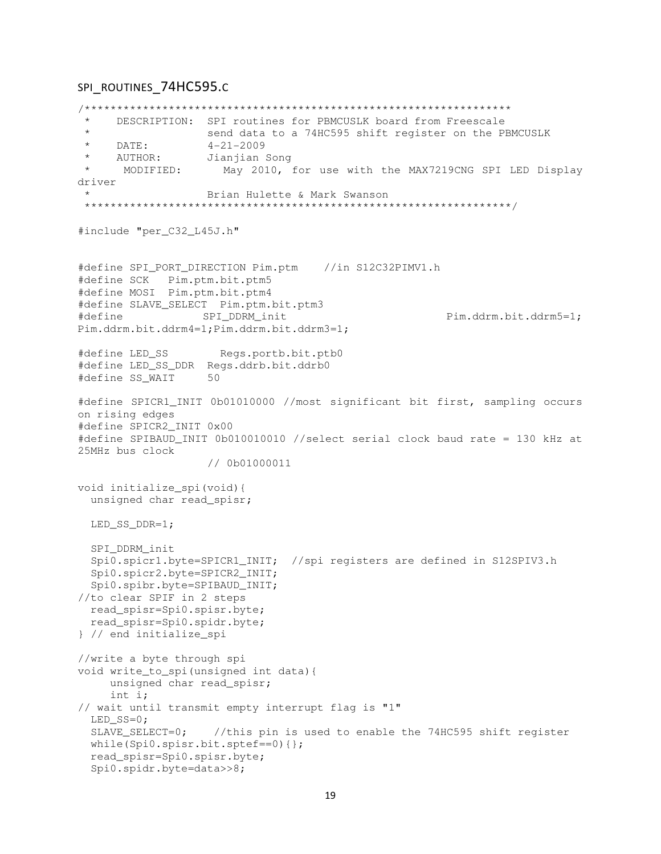## SPI\_ROUTINES\_74HC595.c

/\*\*\*\*\*\*\*\*\*\*\*\*\*\*\*\*\*\*\*\*\*\*\*\*\*\*\*\*\*\*\*\*\*\*\*\*\*\*\*\*\*\*\*\*\*\*\*\*\*\*\*\*\*\*\*\*\*\*\*\*\*\*\*\*\*\* \* DESCRIPTION: SPI routines for PBMCUSLK board from Freescale send data to a 74HC595 shift register on the PBMCUSLK \* DATE: 4-21-2009 AUTHOR: Jianjian Song<br>MODIFIED: May 2010, : May 2010, for use with the MAX7219CNG SPI LED Display driver Brian Hulette & Mark Swanson \*\*\*\*\*\*\*\*\*\*\*\*\*\*\*\*\*\*\*\*\*\*\*\*\*\*\*\*\*\*\*\*\*\*\*\*\*\*\*\*\*\*\*\*\*\*\*\*\*\*\*\*\*\*\*\*\*\*\*\*\*\*\*\*\*\*/ #include "per\_C32\_L45J.h" #define SPI\_PORT\_DIRECTION Pim.ptm //in S12C32PIMV1.h #define SCK Pim.ptm.bit.ptm5 #define MOSI Pim.ptm.bit.ptm4 #define SLAVE\_SELECT Pim.ptm.bit.ptm3 #define SPI\_DDRM\_init Pim.ddrm.bit.ddrm5=1; Pim.ddrm.bit.ddrm4=1;Pim.ddrm.bit.ddrm3=1; #define LED\_SS Regs.portb.bit.ptb0 #define LED\_SS\_DDR Regs.ddrb.bit.ddrb0 #define SS\_WAIT 50 #define SPICR1\_INIT 0b01010000 //most significant bit first, sampling occurs on rising edges #define SPICR2\_INIT 0x00 #define SPIBAUD\_INIT 0b010010010 //select serial clock baud rate = 130 kHz at 25MHz bus clock // 0b01000011 void initialize\_spi(void){ unsigned char read spisr; LED\_SS\_DDR=1; SPI\_DDRM\_init Spi0.spicr1.byte=SPICR1\_INIT; //spi registers are defined in S12SPIV3.h Spi0.spicr2.byte=SPICR2\_INIT; Spi0.spibr.byte=SPIBAUD\_INIT; //to clear SPIF in 2 steps read\_spisr=Spi0.spisr.byte; read\_spisr=Spi0.spidr.byte; } // end initialize\_spi //write a byte through spi void write\_to\_spi(unsigned int data){ unsigned char read\_spisr; int i; // wait until transmit empty interrupt flag is "1" LED SS=0: SLAVE SELECT=0; //this pin is used to enable the 74HC595 shift register while(Spi0.spisr.bit.sptef==0){}; read\_spisr=Spi0.spisr.byte; Spi0.spidr.byte=data>>8;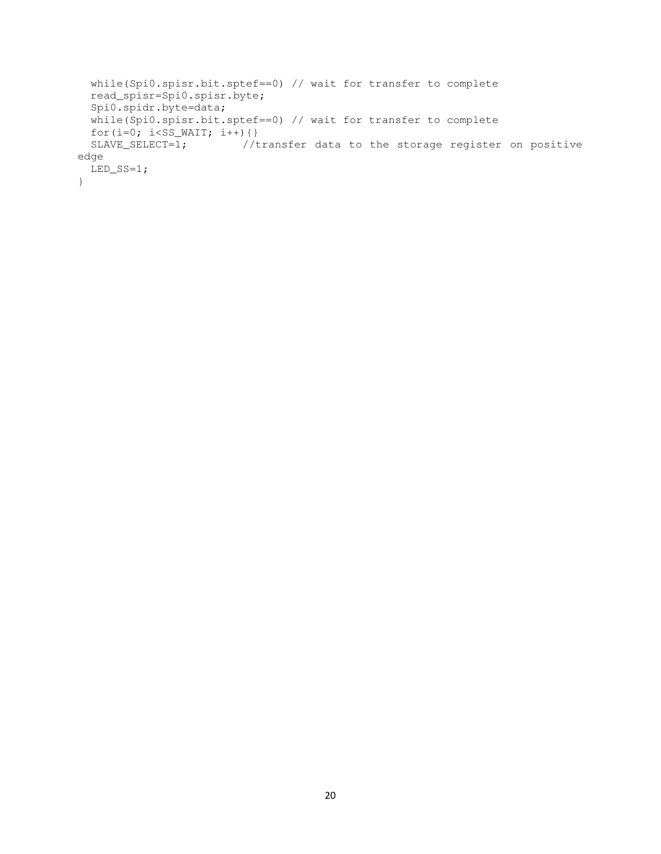```
 while(Spi0.spisr.bit.sptef==0) // wait for transfer to complete 
   read_spisr=Spi0.spisr.byte; 
   Spi0.spidr.byte=data; 
   while(Spi0.spisr.bit.sptef==0) // wait for transfer to complete 
  for(i=0; i<SS_WAIT; i++){}<br>SLAVE_SELECT=1; //t
                      //transfer data to the storage register on positive
edge 
   LED_SS=1; 
}
```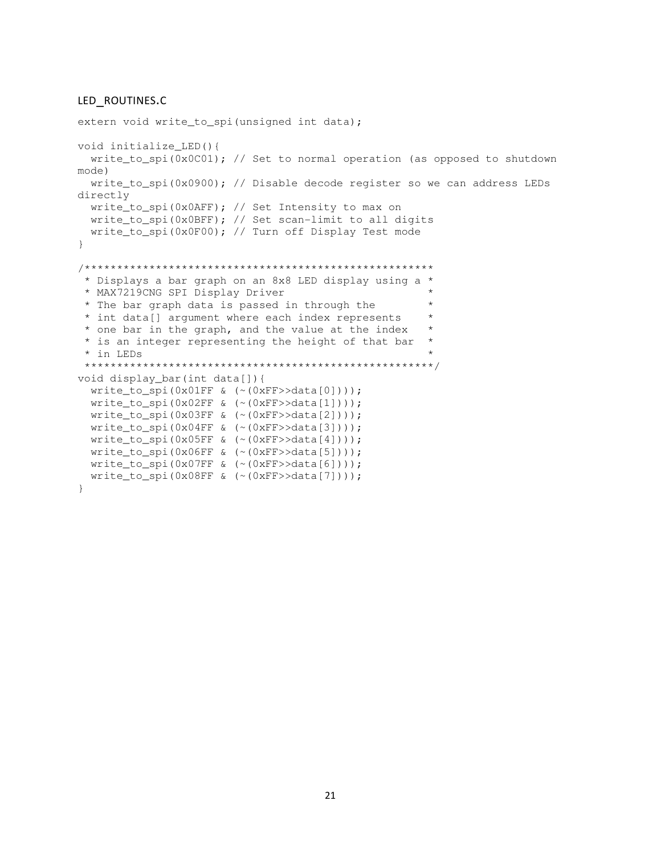#### LED\_ROUTINES.C

```
extern void write to spi(unsigned int data);
void initialize_LED(){ 
  write_to_spi(0x0C01); // Set to normal operation (as opposed to shutdown 
mode) 
  write_to_spi(0x0900); // Disable decode register so we can address LEDs 
directly 
  write_to_spi(0x0AFF); // Set Intensity to max on 
  write_to_spi(0x0BFF); // Set scan-limit to all digits 
   write_to_spi(0x0F00); // Turn off Display Test mode 
} 
/****************************************************** 
  * Displays a bar graph on an 8x8 LED display using a * 
 * MAX7219CNG SPI Display Driver
 * The bar graph data is passed in through the * * int data[] argument where each index represents * 
  * one bar in the graph, and the value at the index * 
  * is an integer representing the height of that bar * 
  * in LEDs * 
  ******************************************************/ 
void display_bar(int data[]){ 
   write_to_spi(0x01FF & (~(0xFF>>data[0]))); 
   write_to_spi(0x02FF & (~(0xFF>>data[1]))); 
   write_to_spi(0x03FF & (~(0xFF>>data[2]))); 
   write_to_spi(0x04FF & (~(0xFF>>data[3]))); 
  write_to_spi(0x05FF & (~(0xFF>>data[4]))); 
 write_to_spi(0x06FF & (\sim (0xFF>>data[5])));
 write_to_spi(0x07FF & (~(0xFF)>data[6])));
   write_to_spi(0x08FF & (~(0xFF>>data[7]))); 
}
```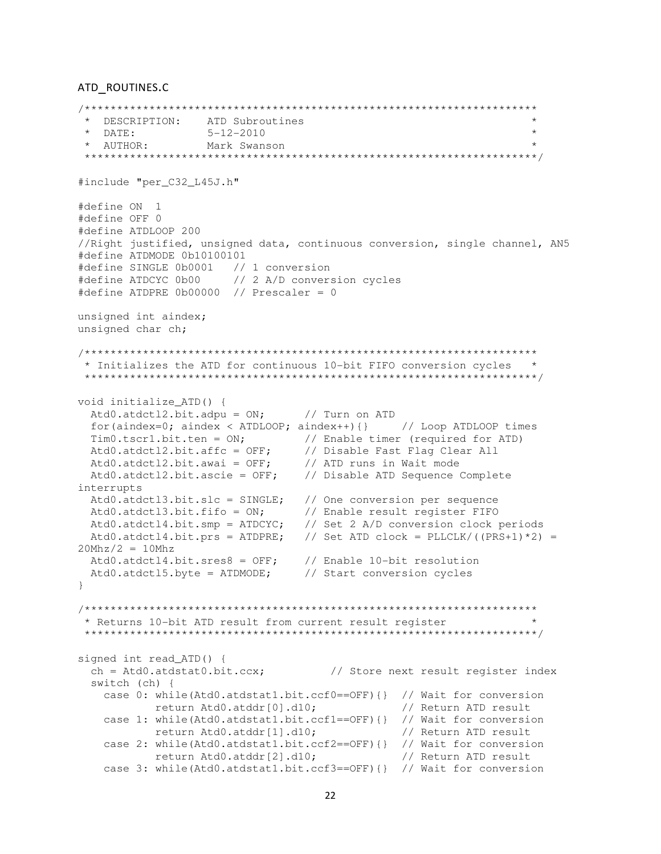#### ATD ROUTINES.C

```
* DESCRIPTION: ATD Subroutines
* DATE:
                                                                   \star5 - 12 - 2010* AUTHOR:
                                                                   \starMark Swanson
#include "per C32 L45J.h"
#define ON 1
#define OFF 0
#define ATDLOOP 200
//Right justified, unsigned data, continuous conversion, single channel, AN5
#define ATDMODE 0b10100101
#define SINGLE 0b0001 // 1 conversion<br>#define ATDCYC 0b00 // 2 A/D conversion cycles
#define ATDPRE 0b00000 // Prescaler = 0
unsigned int aindex;
unsigned char ch;
* Initializes the ATD for continuous 10-bit FIFO conversion cycles
void initialize_ATD() {
 Atd0.atdctl2.bit.adpu = ON; // Turn on ATD
 for(aindex=0; aindex < ATDLOOP; aindex++){} // Loop ATDLOOP times
 Tim0.tscr1.bit.ten = ON;<br>Atd0.atdct12.bit.affc = OFF;<br>Atd0.atdct12.bit.affc = OFF;<br>Atd0.atdct12.bit.awai = OFF;<br>Atd0.atdct12.bit.ascie = OFF;<br>Atd0.atdct12.bit.ascie = OFF;<br>Atd0.atdct12.bit.ascie = OFF;<br>Atd0.atdct12.bit.asc
interrupts
 Atd0.atdct13.bit.slc = SINGLE; // One conversion per sequence<br>Atd0.atdct13.bit.fifo = ON; // Enable result register FIFO<br>Atd0.atdct14.bit.smp = ATDCYC; // Set 2 A/D conversion clock periods
 Atd0.atdct14.bit.prs = ATDPRE; // Set ATD clock = PLLCLK/((PRS+1)*2) =
20Mhz/2 = 10MhzAtd0.atdct14.bit.sres8 = OFF; // Enable 10-bit resolution<br>Atd0.atdct15.byte = ATDMODE; // Start conversion cycles
\mathcal{E}* Returns 10-bit ATD result from current result register
 signed int read_ATD() {
 ch = Atd0.atdstat0.bit.ccx; // Store next result register index
 switch (ch) {
   case 0: while(Atd0.atdstat1.bit.ccf0==OFF){} // Wait for conversion
           return Atd0.atddr[0].d10; // Return ATD result
   case 1: while(Atd0.atdstat1.bit.ccf1==OFF){} // Wait for conversion
           return Atd0.atddr[1].d10;
                                              // Return ATD result
   case 2: while(Atd0.atdstat1.bit.ccf2==OFF){} // Wait for conversion
           return Atd0.atddr[2].d10;
                                               // Return ATD result
   recursive case 3: while(Atd0.atdstat1.bit.ccf3==OFF){} // Wait for conversion
```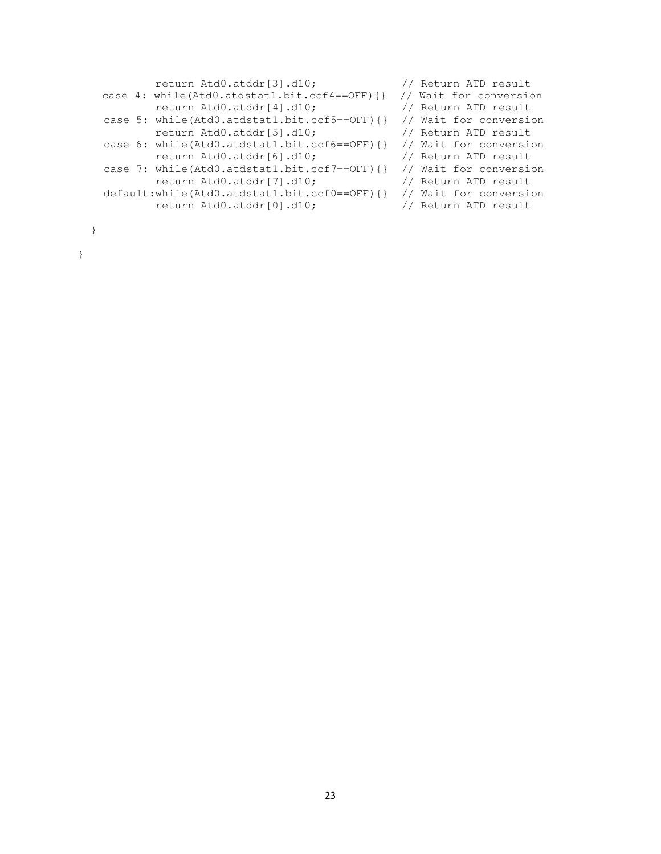```
return Atd0.atddr[3].d10; // Return ATD result
   case 4: while(Atd0.atdstat1.bit.ccf4==OFF){} // Wait for conversion<br>return Atd0.atddr[4].d10; // Return ATD result
           return Atd0.atddr[4].d10;
    case 5: while(Atd0.atdstat1.bit.ccf5==OFF){} // Wait for conversion 
           return Atd0.atddr[5].d10; // Return ATD result 
    case 6: while(Atd0.atdstat1.bit.ccf6==OFF){} // Wait for conversion 
           return Atd0.atddr[6].d10; // Return ATD result 
    case 7: while(Atd0.atdstat1.bit.ccf7==OFF){} // Wait for conversion 
 return Atd0.atddr[7].d10; // Return ATD result 
 default:while(Atd0.atdstat1.bit.ccf0==OFF){} // Wait for conversion 
 return Atd0.atddr[0].d10; // Return ATD result
```
}

}

- 
- 
- 
- 
- 
- 
- 
- 
- 
-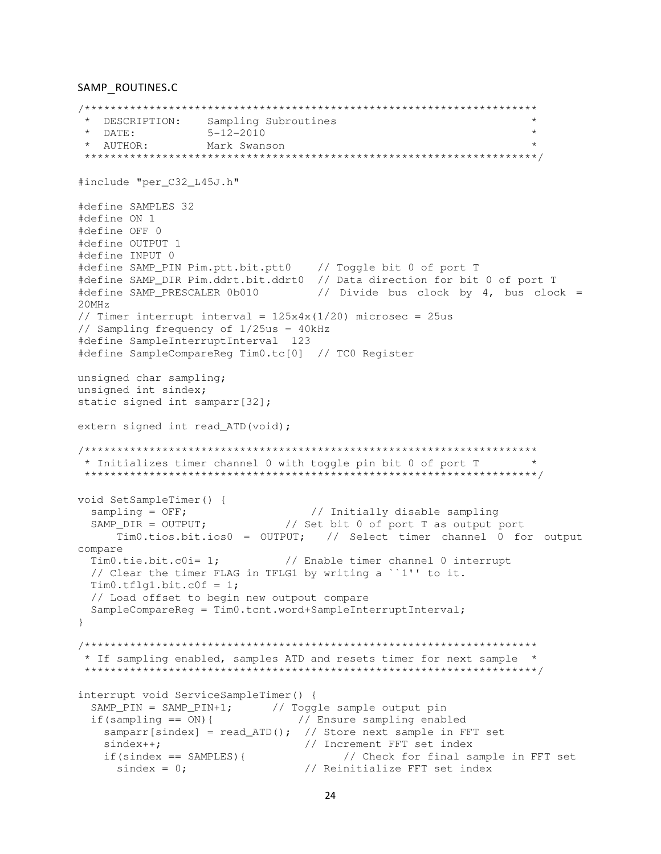#### SAMP ROUTINES.C

```
* DESCRIPTION: Sampling Subroutines
 * DATE: 5-12-2010<br>* AUTHOR: Mark Swanson
                                                                \star\star#include "per C32 L45J.h"
#define SAMPLES 32
#define ON 1
#define OFF 0
#define OUTPUT 1
#define INPUT 0
#define SAMP_PIN Pim.ptt.bit.ptt0 // Toggle bit 0 of port T<br>#define SAMP_DIR Pim.ddrt.bit.ddrt0 // Data direction for bit 0 of port T
#define SAMP_PRESCALER 0b010 // Divide bus clock by 4, bus clock =
20MHz// Timer interrupt interval = 125x4x(1/20) microsec = 25us// Sampling frequency of 1/25us = 40kHz#define SampleInterruptInterval 123
#define SampleCompareReg Tim0.tc[0] // TC0 Register
unsigned char sampling;
unsigned int sindex;
static signed int samparr[32];
extern signed int read_ATD(void);
* Initializes timer channel 0 with toggle pin bit 0 of port T *
 void SetSampleTimer() {
                                // Initially disable sampling
 sampling = OFF;sampling = OFF;<br>SAMP_DIR = OUTPUT; \frac{1}{1} at bit 0 of port T as output port
     Tim0.tios.bit.ios0 = OUTPUT; // Select timer channel 0 for output
compare
 Tim0.tie.bit.c0i=1;// Enable timer channel 0 interrupt
 // Clear the timer FLAG in TFLG1 by writing a ``1'' to it.
 Tim0.tf1q1.bit.c0f = 1;// Load offset to begin new outpout compare
 SampleCompareReg = Tim0.tcnt.word+SampleInterruptInterval;
\left\{ \right\}* If sampling enabled, samples ATD and resets timer for next sample *
 interrupt void ServiceSampleTimer() {
 SAMP_PIN = SAMP_PIN+1; \begin{array}{ccc} / / \text{ Together sample output pin} \\ \text{if (sampling == 0N)} \end{array} // Ensure sampling enabled
   samparr [sindex] = read_ATD(); // Store next sample in FFT set
   sindex++;<br>
if(sindex == SAMPLES){<br>
// Increment FFT set index<br>
if(sindex == SAMPLES){<br>
// Check for final sampl<br>
// Reinitialize FFT set index
                                     // Check for final sample in FFT set
```